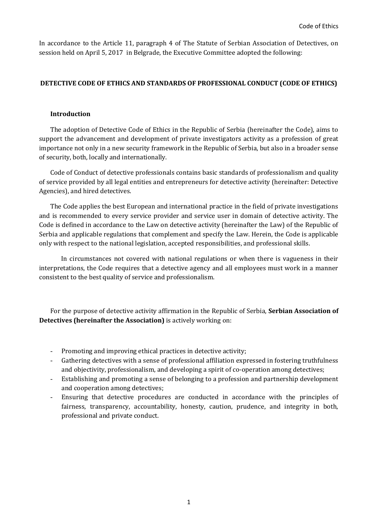In accordance to the Article 11, paragraph 4 of The Statute of Serbian Association of Detectives, on session held on April 5, 2017 in Belgrade, the Executive Committee adopted the following:

# **DETECTIVE CODE OF ETHICS AND STANDARDS OF PROFESSIONAL CONDUCT (CODE OF ETHICS)**

### **Introduction**

The adoption of Detective Code of Ethics in the Republic of Serbia (hereinafter the Code), aims to support the advancement and development of private investigators activity as a profession of great importance not only in a new security framework in the Republic of Serbia, but also in a broader sense of security, both, locally and internationally.

Code of Conduct of detective professionals contains basic standards of professionalism and quality of service provided by all legal entities and entrepreneurs for detective activity (hereinafter: Detective Agencies), and hired detectives.

The Code applies the best European and international practice in the field of private investigations and is recommended to every service provider and service user in domain of detective activity. The Code is defined in accordance to the Law on detective activity (hereinafter the Law) of the Republic of Serbia and applicable regulations that complement and specify the Law. Herein, the Code is applicable only with respect to the national legislation, accepted responsibilities, and professional skills.

In circumstances not covered with national regulations or when there is vagueness in their interpretations, the Code requires that a detective agency and all employees must work in a manner consistent to the best quality of service and professionalism.

For the purpose of detective activity affirmation in the Republic of Serbia, **Serbian Association of Detectives (hereinafter the Association)** is actively working on:

- Promoting and improving ethical practices in detective activity;
- Gathering detectives with a sense of professional affiliation expressed in fostering truthfulness and objectivity, professionalism, and developing a spirit of co-operation among detectives;
- Establishing and promoting a sense of belonging to a profession and partnership development and cooperation among detectives;
- Ensuring that detective procedures are conducted in accordance with the principles of fairness, transparency, accountability, honesty, caution, prudence, and integrity in both, professional and private conduct.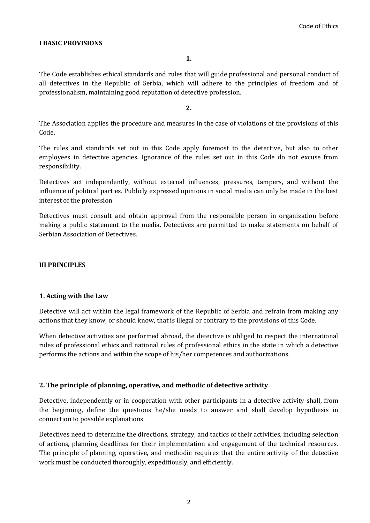#### **I BASIC PROVISIONS**

The Code establishes ethical standards and rules that will guide professional and personal conduct of all detectives in the Republic of Serbia, which will adhere to the principles of freedom and of professionalism, maintaining good reputation of detective profession.

#### **2.**

The Association applies the procedure and measures in the case of violations of the provisions of this Code.

The rules and standards set out in this Code apply foremost to the detective, but also to other employees in detective agencies. Ignorance of the rules set out in this Code do not excuse from responsibility.

Detectives act independently, without external influences, pressures, tampers, and without the influence of political parties. Publicly expressed opinions in social media can only be made in the best interest of the profession.

Detectives must consult and obtain approval from the responsible person in organization before making a public statement to the media. Detectives are permitted to make statements on behalf of Serbian Association of Detectives.

### **III PRINCIPLES**

# **1. Acting with the Law**

Detective will act within the legal framework of the Republic of Serbia and refrain from making any actions that they know, or should know, that is illegal or contrary to the provisions of this Code.

When detective activities are performed abroad, the detective is obliged to respect the international rules of professional ethics and national rules of professional ethics in the state in which a detective performs the actions and within the scope of his/her competences and authorizations.

# **2. The principle of planning, operative, and methodic of detective activity**

Detective, independently or in cooperation with other participants in a detective activity shall, from the beginning, define the questions he/she needs to answer and shall develop hypothesis in connection to possible explanations.

Detectives need to determine the directions, strategy, and tactics of their activities, including selection of actions, planning deadlines for their implementation and engagement of the technical resources. The principle of planning, operative, and methodic requires that the entire activity of the detective work must be conducted thoroughly, expeditiously, and efficiently.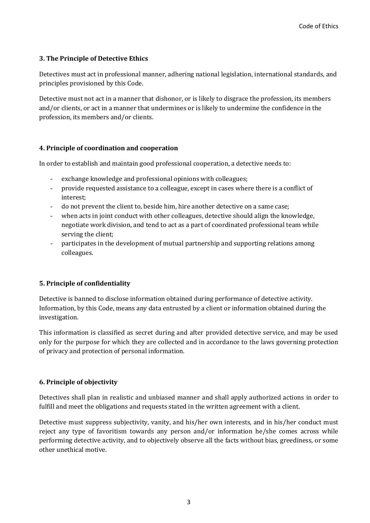# **3. The Principle of Detective Ethics**

Detectives must act in professional manner, adhering national legislation, international standards, and principles provisioned by this Code.

Detective must not act in a manner that dishonor, or is likely to disgrace the profession, its members and/or clients, or act in a manner that undermines or is likely to undermine the confidence in the profession, its members and/or clients.

# **4. Principle of coordination and cooperation**

In order to establish and maintain good professional cooperation, a detective needs to:

- exchange knowledge and professional opinions with colleagues;
- provide requested assistance to a colleague, except in cases where there is a conflict of interest;
- do not prevent the client to, beside him, hire another detective on a same case;
- when acts in joint conduct with other colleagues, detective should align the knowledge, negotiate work division, and tend to act as a part of coordinated professional team while serving the client;
- participates in the development of mutual partnership and supporting relations among colleagues.

# **5. Principle of confidentiality**

Detective is banned to disclose information obtained during performance of detective activity. Information, by this Code, means any data entrusted by a client or information obtained during the investigation.

This information is classified as secret during and after provided detective service, and may be used only for the purpose for which they are collected and in accordance to the laws governing protection of privacy and protection of personal information.

# **6. Principle of objectivity**

Detectives shall plan in realistic and unbiased manner and shall apply authorized actions in order to fulfill and meet the obligations and requests stated in the written agreement with a client.

Detective must suppress subjectivity, vanity, and his/her own interests, and in his/her conduct must reject any type of favoritism towards any person and/or information he/she comes across while performing detective activity, and to objectively observe all the facts without bias, greediness, or some other unethical motive.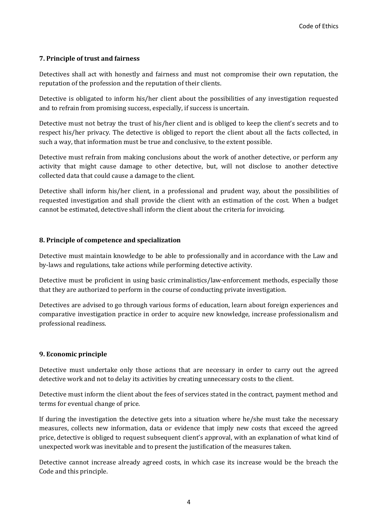# **7. Principle of trust and fairness**

Detectives shall act with honestly and fairness and must not compromise their own reputation, the reputation of the profession and the reputation of their clients.

Detective is obligated to inform his/her client about the possibilities of any investigation requested and to refrain from promising success, especially, if success is uncertain.

Detective must not betray the trust of his/her client and is obliged to keep the client's secrets and to respect his/her privacy. The detective is obliged to report the client about all the facts collected, in such a way, that information must be true and conclusive, to the extent possible.

Detective must refrain from making conclusions about the work of another detective, or perform any activity that might cause damage to other detective, but, will not disclose to another detective collected data that could cause a damage to the client.

Detective shall inform his/her client, in a professional and prudent way, about the possibilities of requested investigation and shall provide the client with an estimation of the cost. When a budget cannot be estimated, detective shall inform the client about the criteria for invoicing.

# **8. Principle of competence and specialization**

Detective must maintain knowledge to be able to professionally and in accordance with the Law and by-laws and regulations, take actions while performing detective activity.

Detective must be proficient in using basic criminalistics/law-enforcement methods, especially those that they are authorized to perform in the course of conducting private investigation.

Detectives are advised to go through various forms of education, learn about foreign experiences and comparative investigation practice in order to acquire new knowledge, increase professionalism and professional readiness.

# **9. Economic principle**

Detective must undertake only those actions that are necessary in order to carry out the agreed detective work and not to delay its activities by creating unnecessary costs to the client.

Detective must inform the client about the fees of services stated in the contract, payment method and terms for eventual change of price.

If during the investigation the detective gets into a situation where he/she must take the necessary measures, collects new information, data or evidence that imply new costs that exceed the agreed price, detective is obliged to request subsequent client's approval, with an explanation of what kind of unexpected work was inevitable and to present the justification of the measures taken.

Detective cannot increase already agreed costs, in which case its increase would be the breach the Code and this principle.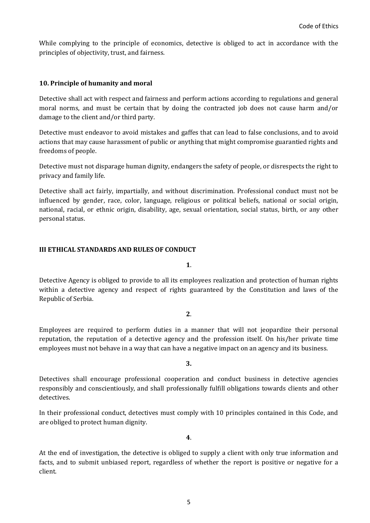While complying to the principle of economics, detective is obliged to act in accordance with the principles of objectivity, trust, and fairness.

#### **10. Principle of humanity and moral**

Detective shall act with respect and fairness and perform actions according to regulations and general moral norms, and must be certain that by doing the contracted job does not cause harm and/or damage to the client and/or third party.

Detective must endeavor to avoid mistakes and gaffes that can lead to false conclusions, and to avoid actions that may cause harassment of public or anything that might compromise guarantied rights and freedoms of people.

Detective must not disparage human dignity, endangers the safety of people, or disrespects the right to privacy and family life.

Detective shall act fairly, impartially, and without discrimination. Professional conduct must not be influenced by gender, race, color, language, religious or political beliefs, national or social origin, national, racial, or ethnic origin, disability, age, sexual orientation, social status, birth, or any other personal status.

#### **III ETHICAL STANDARDS AND RULES OF CONDUCT**

#### **1**.

Detective Agency is obliged to provide to all its employees realization and protection of human rights within a detective agency and respect of rights guaranteed by the Constitution and laws of the Republic of Serbia.

**2**.

Employees are required to perform duties in a manner that will not jeopardize their personal reputation, the reputation of a detective agency and the profession itself. On his/her private time employees must not behave in a way that can have a negative impact on an agency and its business.

**3.**

Detectives shall encourage professional cooperation and conduct business in detective agencies responsibly and conscientiously, and shall professionally fulfill obligations towards clients and other detectives.

In their professional conduct, detectives must comply with 10 principles contained in this Code, and are obliged to protect human dignity.

At the end of investigation, the detective is obliged to supply a client with only true information and facts, and to submit unbiased report, regardless of whether the report is positive or negative for a client.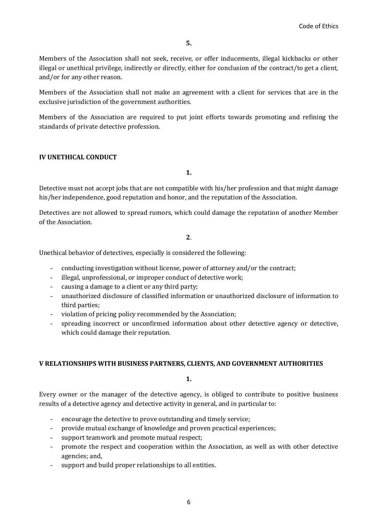Members of the Association shall not seek, receive, or offer inducements, illegal kickbacks or other illegal or unethical privilege, indirectly or directly, either for conclusion of the contract/to get a client, and/or for any other reason.

Members of the Association shall not make an agreement with a client for services that are in the exclusive jurisdiction of the government authorities.

Members of the Association are required to put joint efforts towards promoting and refining the standards of private detective profession.

# **IV UNETHICAL CONDUCT**

**1.**

Detective must not accept jobs that are not compatible with his/her profession and that might damage his/her independence, good reputation and honor, and the reputation of the Association.

Detectives are not allowed to spread rumors, which could damage the reputation of another Member of the Association.

**2**.

Unethical behavior of detectives, especially is considered the following:

- conducting investigation without license, power of attorney and/or the contract;
- illegal, unprofessional, or improper conduct of detective work;
- causing a damage to a client or any third party;
- unauthorized disclosure of classified information or unauthorized disclosure of information to third parties;
- violation of pricing policy recommended by the Association;
- spreading incorrect or unconfirmed information about other detective agency or detective, which could damage their reputation.

# **V RELATIONSHIPS WITH BUSINESS PARTNERS, CLIENTS, AND GOVERNMENT AUTHORITIES**

**1.**

Every owner or the manager of the detective agency, is obliged to contribute to positive business results of a detective agency and detective activity in general, and in particular to:

- encourage the detective to prove outstanding and timely service;
- provide mutual exchange of knowledge and proven practical experiences;
- support teamwork and promote mutual respect;
- promote the respect and cooperation within the Association, as well as with other detective agencies; and,
- support and build proper relationships to all entities.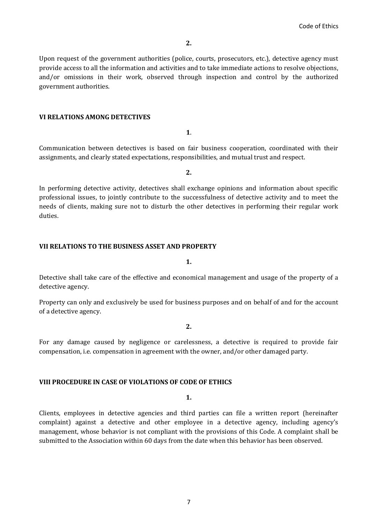Upon request of the government authorities (police, courts, prosecutors, etc.), detective agency must provide access to all the information and activities and to take immediate actions to resolve objections, and/or omissions in their work, observed through inspection and control by the authorized government authorities.

#### **VI RELATIONS AMONG DETECTIVES**

**1**.

Communication between detectives is based on fair business cooperation, coordinated with their assignments, and clearly stated expectations, responsibilities, and mutual trust and respect.

**2.**

In performing detective activity, detectives shall exchange opinions and information about specific professional issues, to jointly contribute to the successfulness of detective activity and to meet the needs of clients, making sure not to disturb the other detectives in performing their regular work duties.

#### **VII RELATIONS TO THE BUSINESS ASSET AND PROPERTY**

**1.**

Detective shall take care of the effective and economical management and usage of the property of a detective agency.

Property can only and exclusively be used for business purposes and on behalf of and for the account of a detective agency.

**2.**

For any damage caused by negligence or carelessness, a detective is required to provide fair compensation, i.e. compensation in agreement with the owner, and/or other damaged party.

#### **VIII PROCEDURE IN CASE OF VIOLATIONS OF CODE OF ETHICS**

**1.**

Clients, employees in detective agencies and third parties can file a written report (hereinafter complaint) against a detective and other employee in a detective agency, including agency's management, whose behavior is not compliant with the provisions of this Code. A complaint shall be submitted to the Association within 60 days from the date when this behavior has been observed.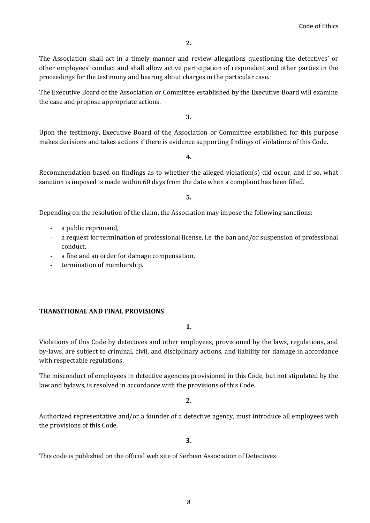The Association shall act in a timely manner and review allegations questioning the detectives' or other employees' conduct and shall allow active participation of respondent and other parties in the proceedings for the testimony and hearing about charges in the particular case.

The Executive Board of the Association or Committee established by the Executive Board will examine the case and propose appropriate actions.

**3.**

Upon the testimony, Executive Board of the Association or Committee established for this purpose makes decisions and takes actions if there is evidence supporting findings of violations of this Code.

#### **4.**

Recommendation based on findings as to whether the alleged violation(s) did occur, and if so, what sanction is imposed is made within 60 days from the date when a complaint has been filled.

#### **5.**

Depending on the resolution of the claim, the Association may impose the following sanctions:

- a public reprimand,
- a request for termination of professional license, i.e. the ban and/or suspension of professional conduct,
- a fine and an order for damage compensation,
- termination of membership.

#### **TRANSITIONAL AND FINAL PROVISIONS**

**1.**

Violations of this Code by detectives and other employees, provisioned by the laws, regulations, and by-laws, are subject to criminal, civil, and disciplinary actions, and liability for damage in accordance with respectable regulations.

The misconduct of employees in detective agencies provisioned in this Code, but not stipulated by the law and bylaws, is resolved in accordance with the provisions of this Code.

#### **2.**

Authorized representative and/or a founder of a detective agency, must introduce all employees with the provisions of this Code.

**3.**

This code is published on the official web site of Serbian Association of Detectives.